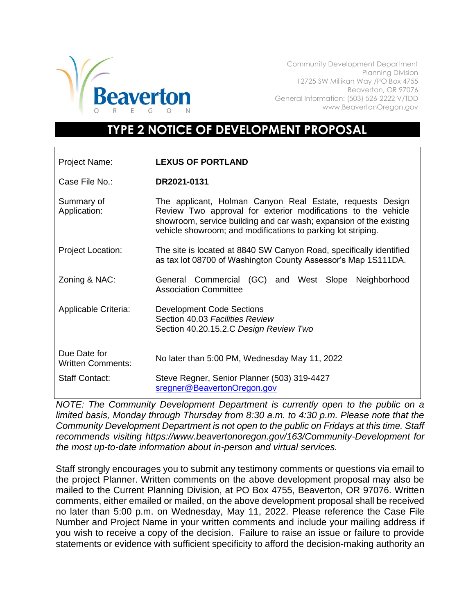

Community Development Department Planning Division 12725 SW Millikan Way /PO Box 4755 Beaverton, OR 97076 General Information: (503) 526-2222 V/TDD www.BeavertonOregon.gov

## **TYPE 2 NOTICE OF DEVELOPMENT PROPOSAL**

| Project Name:                            | <b>LEXUS OF PORTLAND</b>                                                                                                                                                                                                                                         |
|------------------------------------------|------------------------------------------------------------------------------------------------------------------------------------------------------------------------------------------------------------------------------------------------------------------|
| Case File No.:                           | DR2021-0131                                                                                                                                                                                                                                                      |
| Summary of<br>Application:               | The applicant, Holman Canyon Real Estate, requests Design<br>Review Two approval for exterior modifications to the vehicle<br>showroom, service building and car wash; expansion of the existing<br>vehicle showroom; and modifications to parking lot striping. |
| <b>Project Location:</b>                 | The site is located at 8840 SW Canyon Road, specifically identified<br>as tax lot 08700 of Washington County Assessor's Map 1S111DA.                                                                                                                             |
| Zoning & NAC:                            | General Commercial (GC) and West Slope<br>Neighborhood<br><b>Association Committee</b>                                                                                                                                                                           |
| Applicable Criteria:                     | <b>Development Code Sections</b><br>Section 40.03 Facilities Review<br>Section 40.20.15.2.C Design Review Two                                                                                                                                                    |
| Due Date for<br><b>Written Comments:</b> | No later than 5:00 PM, Wednesday May 11, 2022                                                                                                                                                                                                                    |
| <b>Staff Contact:</b>                    | Steve Regner, Senior Planner (503) 319-4427<br>sregner@BeavertonOregon.gov                                                                                                                                                                                       |

*NOTE: The Community Development Department is currently open to the public on a limited basis, Monday through Thursday from 8:30 a.m. to 4:30 p.m. Please note that the Community Development Department is not open to the public on Fridays at this time. Staff recommends visiting https://www.beavertonoregon.gov/163/Community-Development for the most up-to-date information about in-person and virtual services.* 

Staff strongly encourages you to submit any testimony comments or questions via email to the project Planner. Written comments on the above development proposal may also be mailed to the Current Planning Division, at PO Box 4755, Beaverton, OR 97076. Written comments, either emailed or mailed, on the above development proposal shall be received no later than 5:00 p.m. on Wednesday, May 11, 2022. Please reference the Case File Number and Project Name in your written comments and include your mailing address if you wish to receive a copy of the decision. Failure to raise an issue or failure to provide statements or evidence with sufficient specificity to afford the decision-making authority an